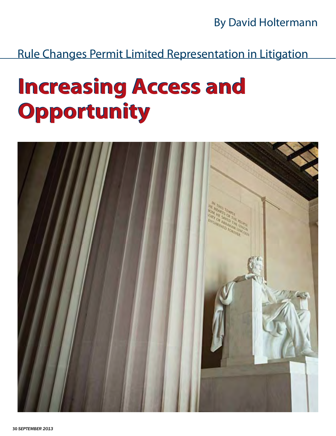By David Holtermann

Rule Changes Permit Limited Representation in Litigation

# **Increasing Access and Increasing Access and Opportunity Opportunity**

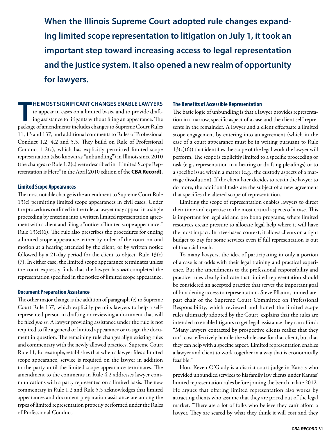**When the Illinois Supreme Court adopted rule changes expanding limited scope representation to litigation on July 1, it took an important step toward increasing access to legal representation and the justice system. It also opened a new realm of opportunity for lawyers.** 

**he most significant changes enable lawyers**

**THE MOST SIGNIFICANT CHANGES ENABLE LAWYERS**<br>to appear in cases on a limited basis, and to provide draft-<br>ing assistance to litigants without filing an appearance. The<br>package of amendments includes changes to Supreme Cou to appear in cases on a limited basis, and to provide drafting assistance to litigants without filing an appearance. The 11, 13 and 137, and additional comments to Rules of Professional Conduct 1.2, 4.2 and 5.5. They build on Rule of Professional Conduct 1.2(c), which has explicitly permitted limited scope representation (also known as "unbundling") in Illinois since 2010 (the changes to Rule 1.2(c) were described in "Limited Scope Representation is Here" in the April 2010 edition of the **CBA Record).**

#### **Limited Scope Appearances**

The most notable change is the amendment to Supreme Court Rule 13(c) permitting limited scope appearances in civil cases. Under the procedures outlined in the rule, a lawyer may appear in a single proceeding by entering into a written limited representation agreement with a client and filing a "notice of limited scope appearance." Rule  $13(c)(6)$ . The rule also prescribes the procedures for ending a limited scope appearance–either by order of the court on oral motion at a hearing attended by the client, or by written notice followed by a 21-day period for the client to object. Rule 13(c) (7). In either case, the limited scope appearance terminates unless the court expressly finds that the lawyer has *not* completed the representation specified in the notice of limited scope appearance.

#### **Document Preparation Assistance**

The other major change is the addition of paragraph (e) to Supreme Court Rule 137, which explicitly permits lawyers to help a selfrepresented person in drafting or reviewing a document that will be filed *pro se*. A lawyer providing assistance under the rule is not required to file a general or limited appearance or to sign the document in question. The remaining rule changes align existing rules and commentary with the newly allowed practices. Supreme Court Rule 11, for example, establishes that when a lawyer files a limited scope appearance, service is required on the lawyer in addition to the party until the limited scope appearance terminates. The amendment to the comments in Rule 4.2 addresses lawyer communications with a party represented on a limited basis. The new commentary in Rule 1.2 and Rule 5.5 acknowledges that limited appearances and document preparation assistance are among the types of limited representation properly performed under the Rules of Professional Conduct.

#### **The Benefits of Accessible Representation**

The basic logic of unbundling is that a lawyer provides representation in a narrow, specific aspect of a case and the client self-represents in the remainder. A lawyer and a client effectuate a limited scope engagement by entering into an agreement (which in the case of a court appearance must be in writing pursuant to Rule 13(c)(6)) that identifies the scope of the legal work the lawyer will perform. The scope is explicitly limited to a specific proceeding or task (e.g., representation in a hearing or drafting pleadings) or to a specific issue within a matter (e.g., the custody aspects of a marriage dissolution). If the client later decides to retain the lawyer to do more, the additional tasks are the subject of a new agreement that specifies the altered scope of representation.

 Limiting the scope of representation enables lawyers to direct their time and expertise to the most critical aspects of a case. This is important for legal aid and pro bono programs, where limited resources create pressure to allocate legal help where it will have the most impact. In a fee-based context, it allows clients on a tight budget to pay for some services even if full representation is out of financial reach.

 To many lawyers, the idea of participating in only a portion of a case is at odds with their legal training and practical experience. But the amendments to the professional responsibility and practice rules clearly indicate that limited representation should be considered an accepted practice that serves the important goal of broadening access to representation. Steve Pflaum, immediatepast chair of the Supreme Court Committee on Professional Responsibility, which reviewed and honed the limited scope rules ultimately adopted by the Court, explains that the rules are intended to enable litigants to get legal assistance they can afford: "Many lawyers contacted by prospective clients realize that they can't cost-effectively handle the whole case for that client, but that they can help with a specific aspect. Limited representation enables a lawyer and client to work together in a way that is economically feasible."

 Hon. Keven O'Grady is a district court judge in Kansas who provided unbundled services to his family law clients under Kansas' limited representation rules before joining the bench in late 2012. He argues that offering limited representation also works by attracting clients who assume that they are priced out of the legal market. "There are a lot of folks who believe they can't afford a lawyer. They are scared by what they think it will cost and they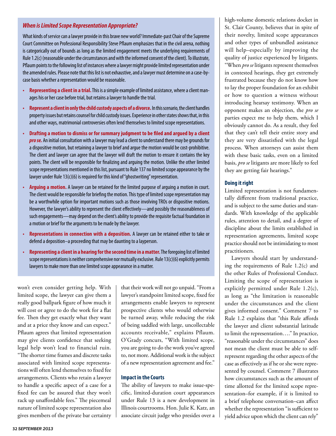#### *When is Limited Scope Representation Appropriate?*

What kinds of service can a lawyer provide in this brave new world? Immediate-past Chair of the Supreme Court Committee on Professional Responsibility Steve Pflaum emphasizes that in the civil arena, nothing is categorically out of bounds as long as the limited engagement meets the underlying requirements of Rule 1.2(c) (reasonable under the circumstances and with the informed consent of the client). To illustrate, Pflaum points to the following list of instances where a lawyer might provide limited representation under the amended rules. Please note that this list is not exhaustive, and a lawyer must determine on a case-bycase basis whether a representation would be reasonable.

- **Representing a client in a trial.** This is a simple example of limited assistance, where a client manages his or her case before trial, but retains a lawyer to handle the trial.
- **Represent a client in only the child custody aspects of a divorce.** In this scenario, the client handles property issues but retains counsel for child custody issues. Experience in other states shows that, in this and other ways, matrimonial controversies often lend themselves to limited scope representations.
- **Drafting a motion to dismiss or for summary judgment to be filed and argued by a client**  *pro se.* An initial consultation with a lawyer may lead a client to understand there may be grounds for a dispositive motion, but retaining a lawyer to brief and argue the motion would be cost-prohibitive. The client and lawyer can agree that the lawyer will draft the motion to ensure it contains the key points. The client will be responsible for finalizing and arguing the motion. Unlike the other limited scope representations mentioned in this list, pursuant to Rule 137 no limited scope appearance by the lawyer under Rule 13(c)(6) is required for this kind of "ghostwriting" representation.
- **Arguing a motion.** A lawyer can be retained for the limited purpose of arguing a motion in court. The client would be responsible for briefing the motion. This type of limited scope representation may be a worthwhile option for important motions such as those involving TROs or dispositive motions. However, the lawyer's ability to represent the client effectively—and possibly the reasonableness of such engagements—may depend on the client's ability to provide the requisite factual foundation in a motion or brief for the arguments to be made by the lawyer.
- **Representations in connection with a deposition.** A lawyer can be retained either to take or defend a deposition–a proceeding that may be daunting to a layperson.
- **Representing a client in a hearing for the second time in a matter.** The foregoing list of limited scope representations is neither comprehensive nor mutually exclusive. Rule 13(c)(6) explicitly permits lawyers to make more than one limited scope appearance in a matter.

won't even consider getting help. With limited scope, the lawyer can give them a really good ballpark figure of how much it will cost or agree to do the work for a flat fee. Then they get exactly what they want and at a price they know and can expect." Pflaum agrees that limited representation may give clients confidence that seeking legal help won't lead to financial ruin. "The shorter time frames and discrete tasks associated with limited scope representations will often lend themselves to fixed fee arrangements. Clients who retain a lawyer to handle a specific aspect of a case for a fixed fee can be assured that they won't rack up unaffordable fees." The piecemeal nature of limited scope representation also gives members of the private bar certainty that their work will not go unpaid. "From a lawyer's standpoint limited scope, fixed fee arrangements enable lawyers to represent prospective clients who would otherwise be turned away, while reducing the risk of being saddled with large, uncollectable accounts receivable," explains Pflaum. O'Grady concurs, "With limited scope, you are going to do the work you've agreed to, not more. Additional work is the subject of a new representation agreement and fee."

#### **Impact in the Courts**

The ability of lawyers to make issue-specific, limited-duration court appearances under Rule 13 is a new development in Illinois courtrooms. Hon. Julie K. Katz, an associate circuit judge who presides over a high-volume domestic relations docket in St. Clair County, believes that in spite of their novelty, limited scope appearances and other types of unbundled assistance will help–especially by improving the quality of justice experienced by litigants. "When *pro se* litigants represent themselves in contested hearings, they get extremely frustrated because they do not know how to lay the proper foundation for an exhibit or how to question a witness without introducing hearsay testimony. When an opponent makes an objection, the *pro se* parties expect me to help them, which I obviously cannot do. As a result, they feel that they can't tell their entire story and they are very dissatisfied with the legal process. When attorneys can assist them with these basic tasks, even on a limited basis, *pro se* litigants are more likely to feel they are getting fair hearings."

#### **Doing it right**

Limited representation is not fundamentally different from traditional practice, and is subject to the same duties and standards. With knowledge of the applicable rules, attention to detail, and a degree of discipline about the limits established in representation agreements, limited scope practice should not be intimidating to most practitioners.

 Lawyers should start by understanding the requirements of Rule 1.2(c) and the other Rules of Professional Conduct. Limiting the scope of representation is explicitly permitted under Rule 1.2(c), as long as "the limitation is reasonable under the circumstances and the client gives informed consent." Comment 7 to Rule 1.2 explains that "this Rule affords the lawyer and client substantial latitude to limit the representation…." In practice, "reasonable under the circumstances" does not mean the client must be able to selfrepresent regarding the other aspects of the case as effectively as if he or she were represented by counsel. Comment 7 illustrates how circumstances such as the amount of time allotted for the limited scope representation–for example, if it is limited to a brief telephone conversation–can affect whether the representation "is sufficient to yield advice upon which the client can rely"